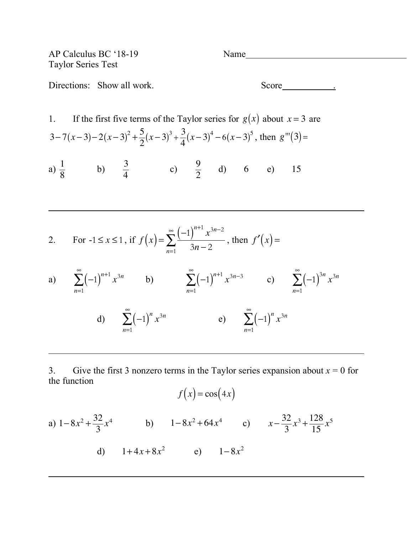AP Calculus BC '18-19 Name Taylor Series Test Directions: Show all work. Score <u>Score</u> 2014.

1. If the first five terms of the Taylor series for  $g(x)$  about  $x = 3$  are 3-7(*x*-3)-2(*x*-3)<sup>2</sup> +  $\frac{5}{2}$ (*x*-3)<sup>3</sup> +  $\frac{3}{4}$ (*x*-3)<sup>4</sup> - 6(*x*-3)<sup>5</sup>, then *g*<sup>'''</sup>(3)= a)  $\frac{1}{9}$  b)  $\frac{3}{4}$  c)  $\frac{9}{2}$  d) 6 e) 8 3 4  $\frac{9}{2}$  d) 6 e) 15

2. For 
$$
-1 \le x \le 1
$$
, if  $f(x) = \sum_{n=1}^{\infty} \frac{(-1)^{n+1} x^{3n-2}}{3n-2}$ , then  $f'(x) =$ 

a) 
$$
\sum_{n=1}^{\infty} (-1)^{n+1} x^{3n}
$$
 b)  $\sum_{n=1}^{\infty} (-1)^{n+1} x^{3n-3}$  c)  $\sum_{n=1}^{\infty} (-1)^{3n} x^{3n}$   
d)  $\sum_{n=1}^{\infty} (-1)^n x^{3n}$  e)  $\sum_{n=1}^{\infty} (-1)^n x^{3n}$ 

3. Give the first 3 nonzero terms in the Taylor series expansion about  $x = 0$  for the function

$$
f(x) = \cos(4x)
$$

a) 
$$
1-8x^2 + \frac{32}{3}x^4
$$
 b)  $1-8x^2 + 64x^4$  c)  $x - \frac{32}{3}x^3 + \frac{128}{15}x^5$   
d)  $1+4x+8x^2$  e)  $1-8x^2$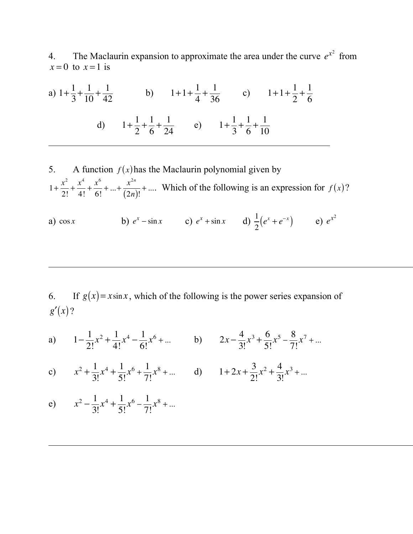4. The Maclaurin expansion to approximate the area under the curve  $e^{x^2}$  from  $x = 0$  to  $x = 1$  is

a) 
$$
1 + \frac{1}{3} + \frac{1}{10} + \frac{1}{42}
$$
 b)  $1 + 1 + \frac{1}{4} + \frac{1}{36}$  c)  $1 + 1 + \frac{1}{2} + \frac{1}{6}$   
d)  $1 + \frac{1}{2} + \frac{1}{6} + \frac{1}{24}$  e)  $1 + \frac{1}{3} + \frac{1}{6} + \frac{1}{10}$ 

5. A function  $f(x)$  has the Maclaurin polynomial given by  $1 + \frac{x^2}{2!} + \frac{x^4}{4!} + \frac{x^6}{6!} + \dots + \frac{x^{2n}}{(2^n)} + \dots$  Which of the following is an expression for  $f(x)$ ? 2!  $+\frac{x^4}{4}$ 4!  $+\frac{x^6}{4}$ 6!  $+\ldots+\frac{x^{2n}}{2n}$ (2*n*)!  $+$ .... Which of the following is an expression for  $f(x)$ 

a) cos *x* **b**)  $e^{x} - \sin x$  **c**)  $e^{x} + \sin x$  **d**)  $\frac{1}{2}(e^{x} + e^{-x})$  **e**) 2  $(e^{x} + e^{-x})$  **e**)  $e^{x^{2}}$ 

6. If  $g(x) = x \sin x$ , which of the following is the power series expansion of  $g'(x)$ ?

a) 
$$
1 - \frac{1}{2!}x^2 + \frac{1}{4!}x^4 - \frac{1}{6!}x^6 + \dots
$$
 b)  $2x - \frac{4}{3!}x^3 + \frac{6}{5!}x^5 - \frac{8}{7!}x^7 + \dots$ 

c) 
$$
x^2 + \frac{1}{3!}x^4 + \frac{1}{5!}x^6 + \frac{1}{7!}x^8 + ...
$$
 d)  $1 + 2x + \frac{3}{2!}x^2 + \frac{4}{3!}x^3 + ...$ 

e)  $x^2 - \frac{1}{2}$ 3!  $x^4 + \frac{1}{5}$ 5!  $x^6 - \frac{1}{7}$ 7! *x*<sup>8</sup> + ...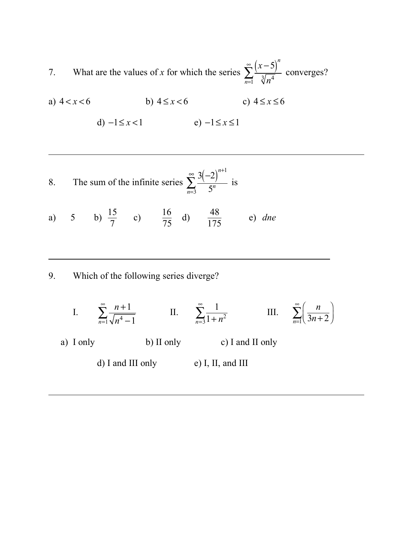7. What are the values of x for which the series  $\sum_{n=1}^{\infty}$  converges?  $(x-5)^n$  $\sum_{n=1}$   $\sqrt[3]{n^4}$ ∞ ∑

a)  $4 < x < 6$  <br>b)  $4 \le x < 6$  <br>c)  $4 \le x \le 6$ 

$$
d) -1 \le x < 1 \qquad \qquad e) -1 \le x \le 1
$$

8. The sum of the infinite series 
$$
\sum_{n=3}^{\infty} \frac{3(-2)^{n+1}}{5^n}
$$
 is

a) 5 b)  $\frac{15}{7}$  c)  $\frac{16}{75}$  d)  $\frac{48}{175}$  e) 7 16 75  $\frac{48}{175}$  e) dne

9. Which of the following series diverge?

I. 
$$
\sum_{n=1}^{\infty} \frac{n+1}{\sqrt{n^4 - 1}}
$$
 II. 
$$
\sum_{n=3}^{\infty} \frac{1}{1 + n^2}
$$
 III. 
$$
\sum_{n=1}^{\infty} \left( \frac{n}{3n + 2} \right)
$$
  
\n2. I only b) II only c) I and II only d) I and III only e) I, II, and III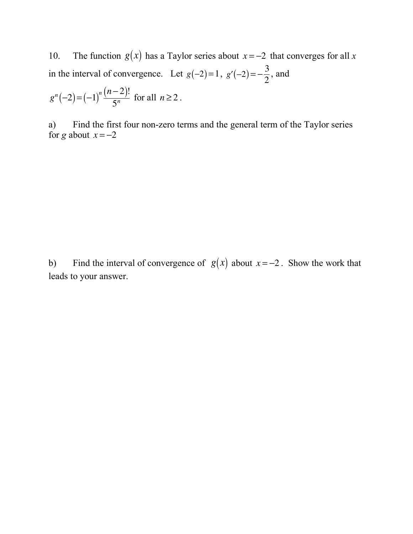10. The function  $g(x)$  has a Taylor series about  $x = -2$  that converges for all x in the interval of convergence. Let  $g(-2)=1$ ,  $g'(-2)=-\frac{3}{2}$ , and 2

$$
g^{n}(-2) = (-1)^{n} \frac{(n-2)!}{5^{n}} \text{ for all } n \ge 2.
$$

a) Find the first four non-zero terms and the general term of the Taylor series for *g* about  $x = -2$ 

b) Find the interval of convergence of  $g(x)$  about  $x = -2$ . Show the work that leads to your answer.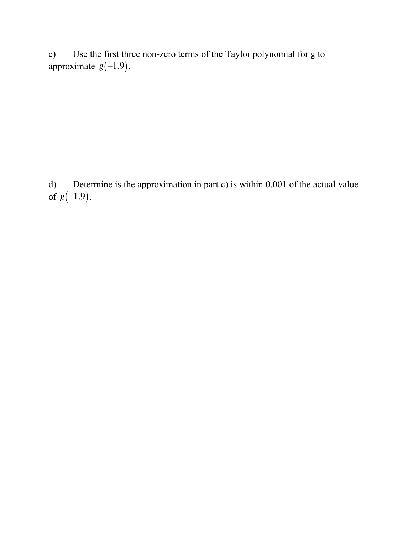c) Use the first three non-zero terms of the Taylor polynomial for g to approximate  $g(-1.9)$ .

d) Determine is the approximation in part c) is within 0.001 of the actual value of  $g(-1.9)$ .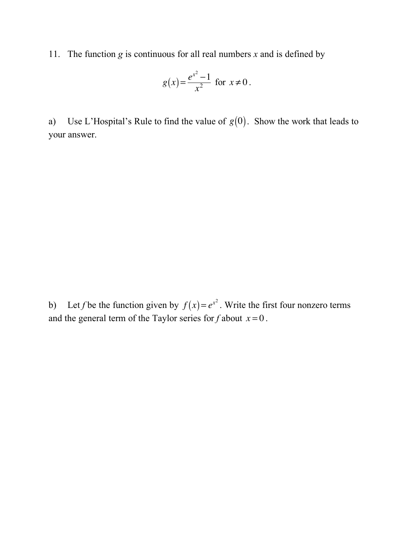11. The function *g* is continuous for all real numbers *x* and is defined by

$$
g(x) = \frac{e^{x^2} - 1}{x^2}
$$
 for  $x \neq 0$ .

a) Use L'Hospital's Rule to find the value of  $g(0)$ . Show the work that leads to your answer.

b) Let *f* be the function given by  $f(x) = e^{x^2}$ . Write the first four nonzero terms and the general term of the Taylor series for  $f$  about  $x = 0$ .